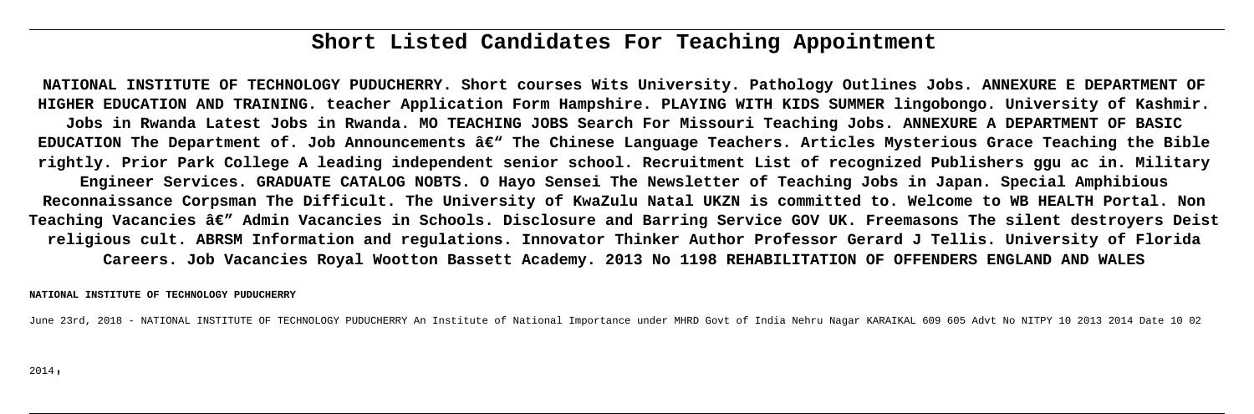# **Short Listed Candidates For Teaching Appointment**

**NATIONAL INSTITUTE OF TECHNOLOGY PUDUCHERRY. Short courses Wits University. Pathology Outlines Jobs. ANNEXURE E DEPARTMENT OF HIGHER EDUCATION AND TRAINING. teacher Application Form Hampshire. PLAYING WITH KIDS SUMMER lingobongo. University of Kashmir. Jobs in Rwanda Latest Jobs in Rwanda. MO TEACHING JOBS Search For Missouri Teaching Jobs. ANNEXURE A DEPARTMENT OF BASIC** EDUCATION The Department of. Job Announcements â€<sup>w</sup> The Chinese Language Teachers. Articles Mysterious Grace Teaching the Bible **rightly. Prior Park College A leading independent senior school. Recruitment List of recognized Publishers ggu ac in. Military Engineer Services. GRADUATE CATALOG NOBTS. O Hayo Sensei The Newsletter of Teaching Jobs in Japan. Special Amphibious Reconnaissance Corpsman The Difficult. The University of KwaZulu Natal UKZN is committed to. Welcome to WB HEALTH Portal. Non** Teaching Vacancies â€" Admin Vacancies in Schools. Disclosure and Barring Service GOV UK. Freemasons The silent destroyers Deist **religious cult. ABRSM Information and regulations. Innovator Thinker Author Professor Gerard J Tellis. University of Florida Careers. Job Vacancies Royal Wootton Bassett Academy. 2013 No 1198 REHABILITATION OF OFFENDERS ENGLAND AND WALES**

### **NATIONAL INSTITUTE OF TECHNOLOGY PUDUCHERRY**

June 23rd, 2018 - NATIONAL INSTITUTE OF TECHNOLOGY PUDUCHERRY An Institute of National Importance under MHRD Govt of India Nehru Nagar KARAIKAL 609 605 Advt No NITPY 10 2013 2014 Date 10 02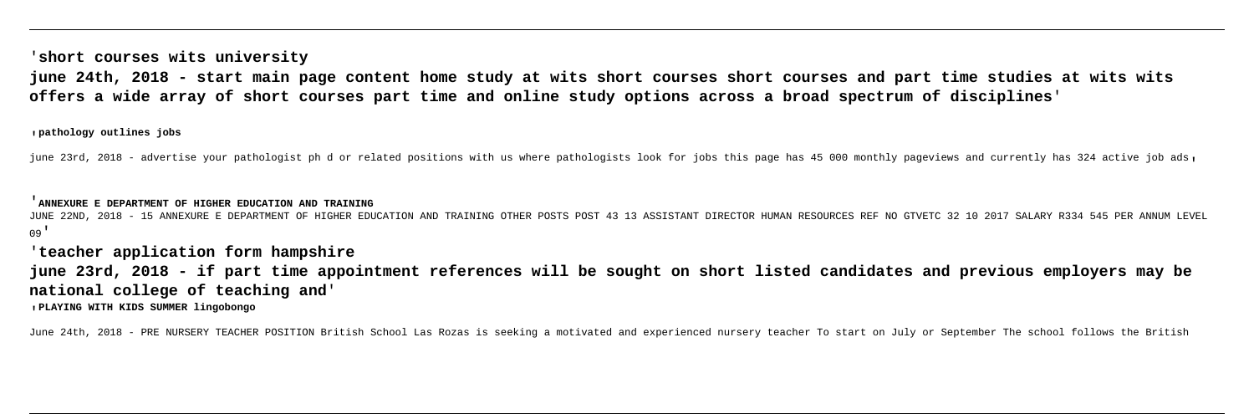'**short courses wits university**

**june 24th, 2018 - start main page content home study at wits short courses short courses and part time studies at wits wits offers a wide array of short courses part time and online study options across a broad spectrum of disciplines**'

'**pathology outlines jobs**

june 23rd, 2018 - advertise your pathologist ph d or related positions with us where pathologists look for jobs this page has 45 000 monthly pageviews and currently has 324 active job ads,

'**ANNEXURE E DEPARTMENT OF HIGHER EDUCATION AND TRAINING**

JUNE 22ND, 2018 - 15 ANNEXURE E DEPARTMENT OF HIGHER EDUCATION AND TRAINING OTHER POST 93 13 ASSISTANT DIRECTOR HUMAN RESOURCES REF NO GTVETC 32 10 2017 SALARY R334 545 PER ANNUM LEVEL  $09'$ 

'**teacher application form hampshire**

**june 23rd, 2018 - if part time appointment references will be sought on short listed candidates and previous employers may be national college of teaching and**'

'**PLAYING WITH KIDS SUMMER lingobongo**

June 24th, 2018 - PRE NURSERY TEACHER POSITION British School Las Rozas is seeking a motivated and experienced nursery teacher To start on July or September The school follows the British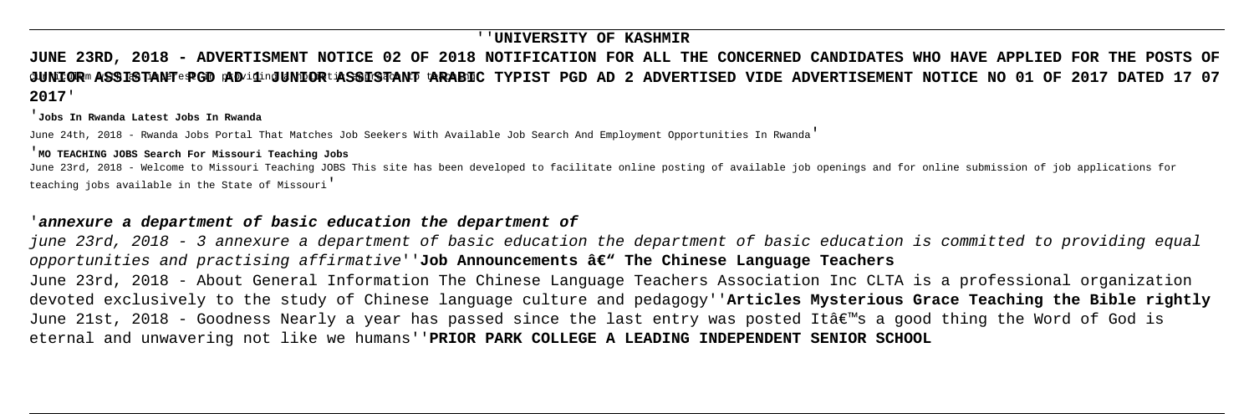## ''**UNIVERSITY OF KASHMIR**

# $\sigma$ UNIOR assistant PPGD popiding UNIOR tassistant tarabic typist PGD ad 2 Advertised vide advertisement notice no 01 of 2017 dated 17 07 **JUNE 23RD, 2018 - ADVERTISMENT NOTICE 02 OF 2018 NOTIFICATION FOR ALL THE CONCERNED CANDIDATES WHO HAVE APPLIED FOR THE POSTS OF 2017**'

### '**Jobs In Rwanda Latest Jobs In Rwanda**

June 24th, 2018 - Rwanda Jobs Portal That Matches Job Seekers With Available Job Search And Employment Opportunities In Rwanda'

### '**MO TEACHING JOBS Search For Missouri Teaching Jobs**

June 23rd, 2018 - Welcome to Missouri Teaching JOBS This site has been developed to facilitate online posting of available job openings and for online submission of job applications for teaching jobs available in the State of Missouri'

## '**annexure a department of basic education the department of**

june 23rd, 2018 - 3 annexure a department of basic education the department of basic education is committed to providing equal opportunities and practising affirmative''**Job Announcements â€" The Chinese Language Teachers** June 23rd, 2018 - About General Information The Chinese Language Teachers Association Inc CLTA is a professional organization devoted exclusively to the study of Chinese language culture and pedagogy''**Articles Mysterious Grace Teaching the Bible rightly** June 21st, 2018 - Goodness Nearly a year has passed since the last entry was posted It's a good thing the Word of God is eternal and unwavering not like we humans''**PRIOR PARK COLLEGE A LEADING INDEPENDENT SENIOR SCHOOL**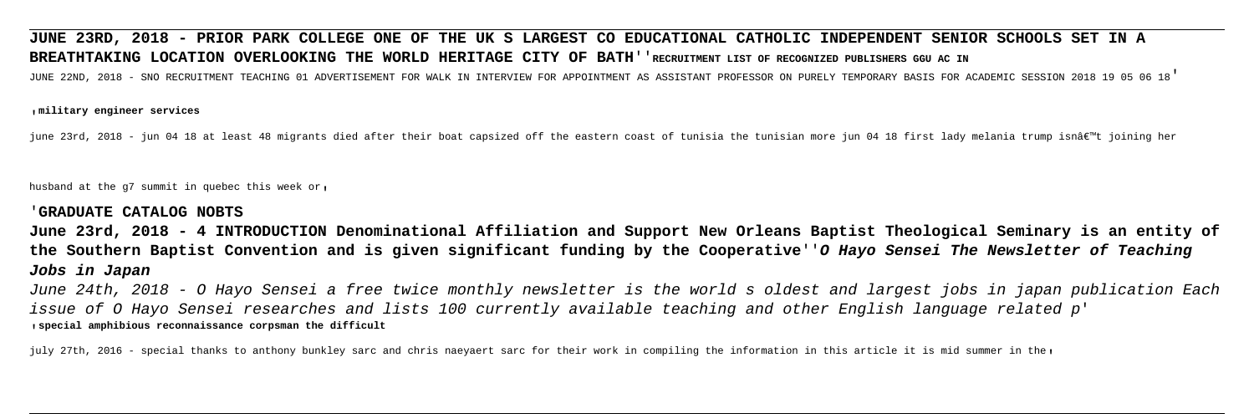# **JUNE 23RD, 2018 - PRIOR PARK COLLEGE ONE OF THE UK S LARGEST CO EDUCATIONAL CATHOLIC INDEPENDENT SENIOR SCHOOLS SET IN A BREATHTAKING LOCATION OVERLOOKING THE WORLD HERITAGE CITY OF BATH**''**RECRUITMENT LIST OF RECOGNIZED PUBLISHERS GGU AC IN** JUNE 22ND, 2018 - SNO RECRUITMENT TEACHING 01 ADVERTISEMENT FOR WALK IN INTERVIEW FOR APPOINTMENT AS ASSISTANT PROFESSOR ON PURELY TEMPORARY BASIS FOR ACADEMIC SESSION 2018 19 05 06 18'

### '**military engineer services**

june 23rd, 2018 - jun 04 18 at least 48 migrants died after their boat capsized off the eastern coast of tunisia the tunisian more jun 04 18 first lady melania trump isn't joining her

husband at the  $q7$  summit in quebec this week or.

# '**GRADUATE CATALOG NOBTS**

**June 23rd, 2018 - 4 INTRODUCTION Denominational Affiliation and Support New Orleans Baptist Theological Seminary is an entity of the Southern Baptist Convention and is given significant funding by the Cooperative**''**O Hayo Sensei The Newsletter of Teaching Jobs in Japan**

June 24th, 2018 - O Hayo Sensei a free twice monthly newsletter is the world s oldest and largest jobs in japan publication Each issue of O Hayo Sensei researches and lists 100 currently available teaching and other English language related p' '**special amphibious reconnaissance corpsman the difficult**

july 27th, 2016 - special thanks to anthony bunkley sarc and chris naeyaert sarc for their work in compiling the information in this article it is mid summer in the,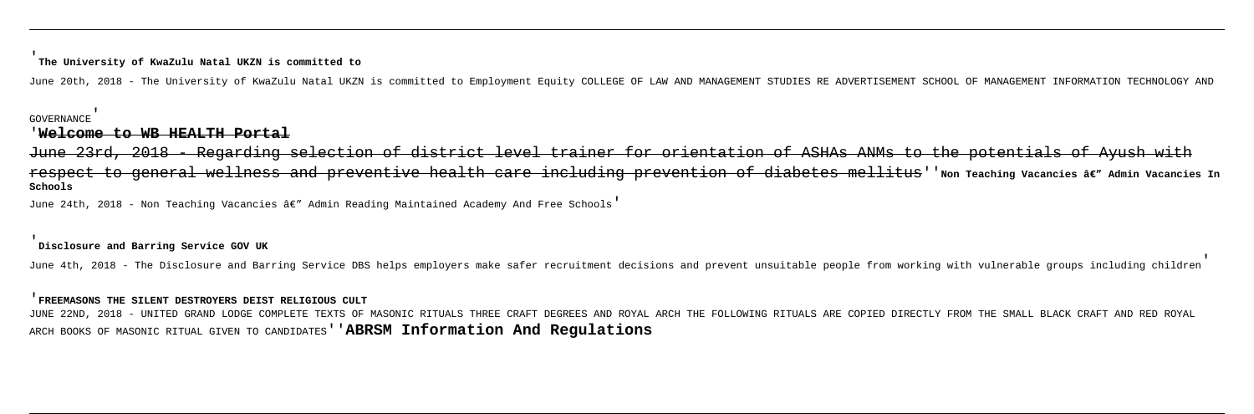### '**The University of KwaZulu Natal UKZN is committed to**

June 20th, 2018 - The University of KwaZulu Natal UKZN is committed to Employment Equity COLLEGE OF LAW AND MANAGEMENT STUDIES RE ADVERTISEMENT SCHOOL OF MANAGEMENT INFORMATION TECHNOLOGY AND

### GOVERNANCE'

## '**Welcome to WB HEALTH Portal**

Regarding selection of district level trainer for orientation of ASHAs ANMs to the potentials of Ayush with respect to general wellness and preventive health care including prevention of diabetes mellitus''Non Teaching Vacancies â€" Admin Vacancies In **Schools**

June 24th, 2018 - Non Teaching Vacancies â€" Admin Reading Maintained Academy And Free Schools'

JUNE 22ND, 2018 - UNITED GRAND LODGE COMPLETE TEXTS OF MASONIC RITUALS THREE CRAFT DEGREES AND ROYAL ARCH THE FOLLOWING RITUALS ARE COPIED DIRECTLY FROM THE SMALL BLACK CRAFT AND RED ROYAL ARCH BOOKS OF MASONIC RITUAL GIVEN TO CANDIDATES''**ABRSM Information And Regulations**

### '**Disclosure and Barring Service GOV UK**

June 4th, 2018 - The Disclosure and Barring Service DBS helps employers make safer recruitment decisions and prevent unsuitable people from working with vulnerable groups including children

### '**FREEMASONS THE SILENT DESTROYERS DEIST RELIGIOUS CULT**